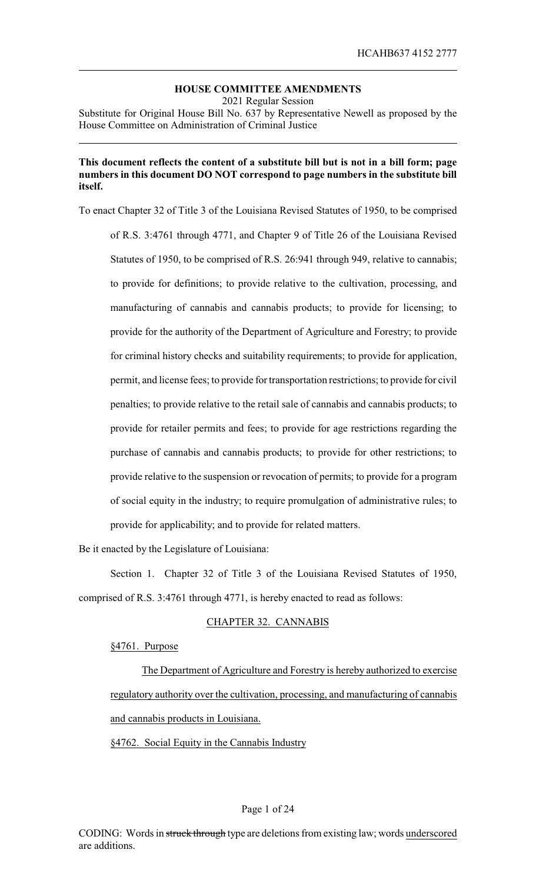# **HOUSE COMMITTEE AMENDMENTS**

2021 Regular Session Substitute for Original House Bill No. 637 by Representative Newell as proposed by the House Committee on Administration of Criminal Justice

## **This document reflects the content of a substitute bill but is not in a bill form; page numbers in this document DO NOT correspond to page numbers in the substitute bill itself.**

To enact Chapter 32 of Title 3 of the Louisiana Revised Statutes of 1950, to be comprised of R.S. 3:4761 through 4771, and Chapter 9 of Title 26 of the Louisiana Revised Statutes of 1950, to be comprised of R.S. 26:941 through 949, relative to cannabis; to provide for definitions; to provide relative to the cultivation, processing, and manufacturing of cannabis and cannabis products; to provide for licensing; to provide for the authority of the Department of Agriculture and Forestry; to provide for criminal history checks and suitability requirements; to provide for application, permit, and license fees; to provide for transportation restrictions; to provide for civil penalties; to provide relative to the retail sale of cannabis and cannabis products; to provide for retailer permits and fees; to provide for age restrictions regarding the purchase of cannabis and cannabis products; to provide for other restrictions; to provide relative to the suspension or revocation of permits; to provide for a program of social equity in the industry; to require promulgation of administrative rules; to provide for applicability; and to provide for related matters.

Be it enacted by the Legislature of Louisiana:

Section 1. Chapter 32 of Title 3 of the Louisiana Revised Statutes of 1950, comprised of R.S. 3:4761 through 4771, is hereby enacted to read as follows:

# CHAPTER 32. CANNABIS

### §4761. Purpose

The Department of Agriculture and Forestry is hereby authorized to exercise regulatory authority over the cultivation, processing, and manufacturing of cannabis and cannabis products in Louisiana.

§4762. Social Equity in the Cannabis Industry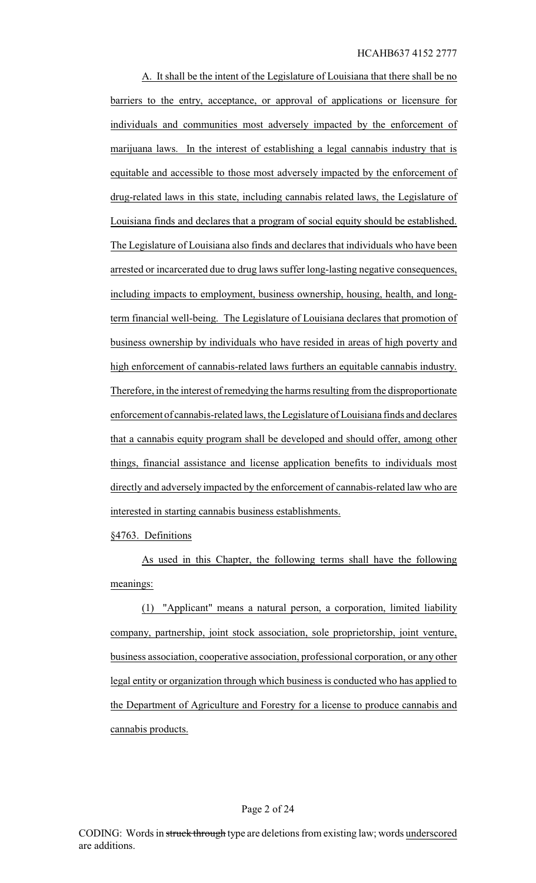A. It shall be the intent of the Legislature of Louisiana that there shall be no barriers to the entry, acceptance, or approval of applications or licensure for individuals and communities most adversely impacted by the enforcement of marijuana laws. In the interest of establishing a legal cannabis industry that is equitable and accessible to those most adversely impacted by the enforcement of drug-related laws in this state, including cannabis related laws, the Legislature of Louisiana finds and declares that a program of social equity should be established. The Legislature of Louisiana also finds and declares that individuals who have been arrested or incarcerated due to drug laws suffer long-lasting negative consequences, including impacts to employment, business ownership, housing, health, and longterm financial well-being. The Legislature of Louisiana declares that promotion of business ownership by individuals who have resided in areas of high poverty and high enforcement of cannabis-related laws furthers an equitable cannabis industry. Therefore, in the interest of remedying the harms resulting from the disproportionate enforcement of cannabis-related laws, the Legislature of Louisiana finds and declares that a cannabis equity program shall be developed and should offer, among other things, financial assistance and license application benefits to individuals most directly and adversely impacted by the enforcement of cannabis-related law who are interested in starting cannabis business establishments.

§4763. Definitions

As used in this Chapter, the following terms shall have the following meanings:

(1) "Applicant" means a natural person, a corporation, limited liability company, partnership, joint stock association, sole proprietorship, joint venture, business association, cooperative association, professional corporation, or any other legal entity or organization through which business is conducted who has applied to the Department of Agriculture and Forestry for a license to produce cannabis and cannabis products.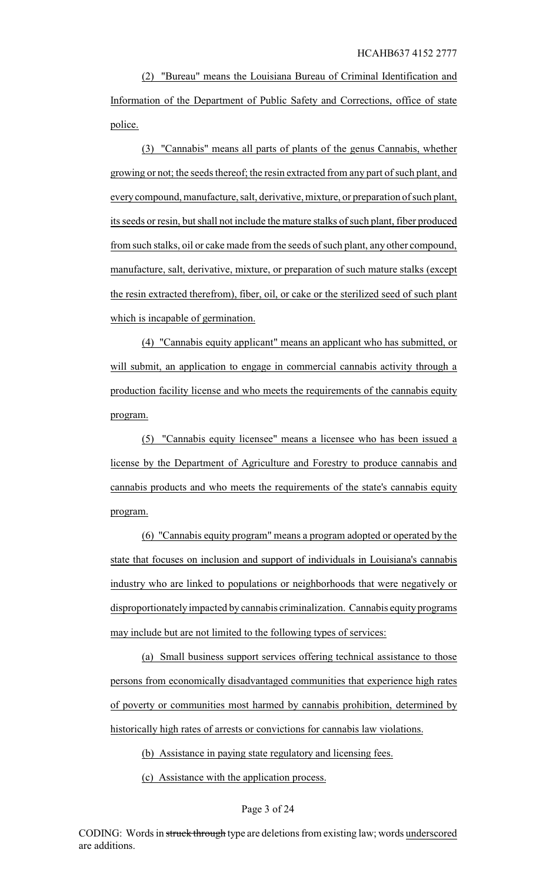(2) "Bureau" means the Louisiana Bureau of Criminal Identification and Information of the Department of Public Safety and Corrections, office of state police.

(3) "Cannabis" means all parts of plants of the genus Cannabis, whether growing or not; the seeds thereof; the resin extracted from any part of such plant, and everycompound, manufacture, salt, derivative, mixture, or preparation of such plant, its seeds or resin, but shall not include the mature stalks of such plant, fiber produced from such stalks, oil or cake made from the seeds of such plant, any other compound, manufacture, salt, derivative, mixture, or preparation of such mature stalks (except the resin extracted therefrom), fiber, oil, or cake or the sterilized seed of such plant which is incapable of germination.

(4) "Cannabis equity applicant" means an applicant who has submitted, or will submit, an application to engage in commercial cannabis activity through a production facility license and who meets the requirements of the cannabis equity program.

(5) "Cannabis equity licensee" means a licensee who has been issued a license by the Department of Agriculture and Forestry to produce cannabis and cannabis products and who meets the requirements of the state's cannabis equity program.

(6) "Cannabis equity program" means a program adopted or operated by the state that focuses on inclusion and support of individuals in Louisiana's cannabis industry who are linked to populations or neighborhoods that were negatively or disproportionately impacted by cannabis criminalization. Cannabis equity programs may include but are not limited to the following types of services:

(a) Small business support services offering technical assistance to those persons from economically disadvantaged communities that experience high rates of poverty or communities most harmed by cannabis prohibition, determined by historically high rates of arrests or convictions for cannabis law violations.

(b) Assistance in paying state regulatory and licensing fees.

(c) Assistance with the application process.

### Page 3 of 24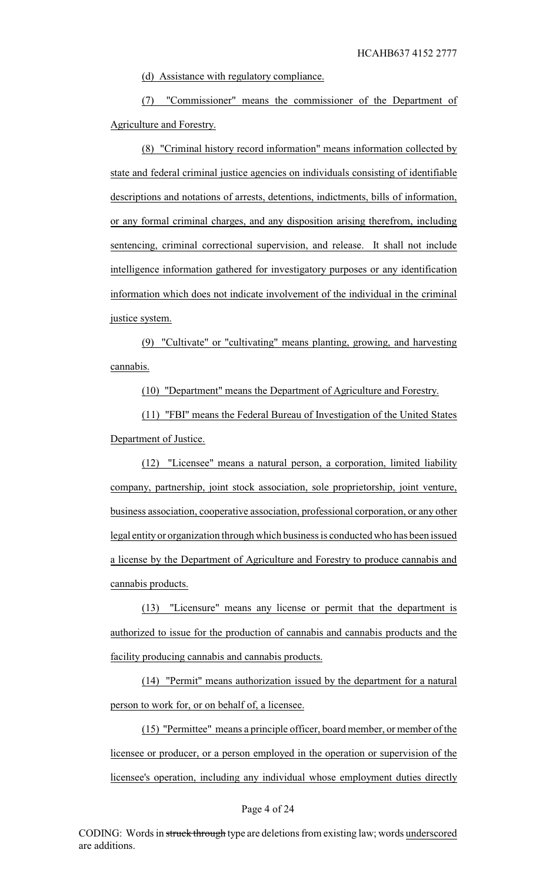(d) Assistance with regulatory compliance.

(7) "Commissioner" means the commissioner of the Department of Agriculture and Forestry.

(8) "Criminal history record information" means information collected by state and federal criminal justice agencies on individuals consisting of identifiable descriptions and notations of arrests, detentions, indictments, bills of information, or any formal criminal charges, and any disposition arising therefrom, including sentencing, criminal correctional supervision, and release. It shall not include intelligence information gathered for investigatory purposes or any identification information which does not indicate involvement of the individual in the criminal justice system.

(9) "Cultivate" or "cultivating" means planting, growing, and harvesting cannabis.

(10) "Department" means the Department of Agriculture and Forestry.

(11) "FBI" means the Federal Bureau of Investigation of the United States Department of Justice.

(12) "Licensee" means a natural person, a corporation, limited liability company, partnership, joint stock association, sole proprietorship, joint venture, business association, cooperative association, professional corporation, or any other legal entityor organization through which business is conducted who has been issued a license by the Department of Agriculture and Forestry to produce cannabis and cannabis products.

(13) "Licensure" means any license or permit that the department is authorized to issue for the production of cannabis and cannabis products and the facility producing cannabis and cannabis products.

(14) "Permit" means authorization issued by the department for a natural person to work for, or on behalf of, a licensee.

(15) "Permittee" means a principle officer, board member, or member of the licensee or producer, or a person employed in the operation or supervision of the licensee's operation, including any individual whose employment duties directly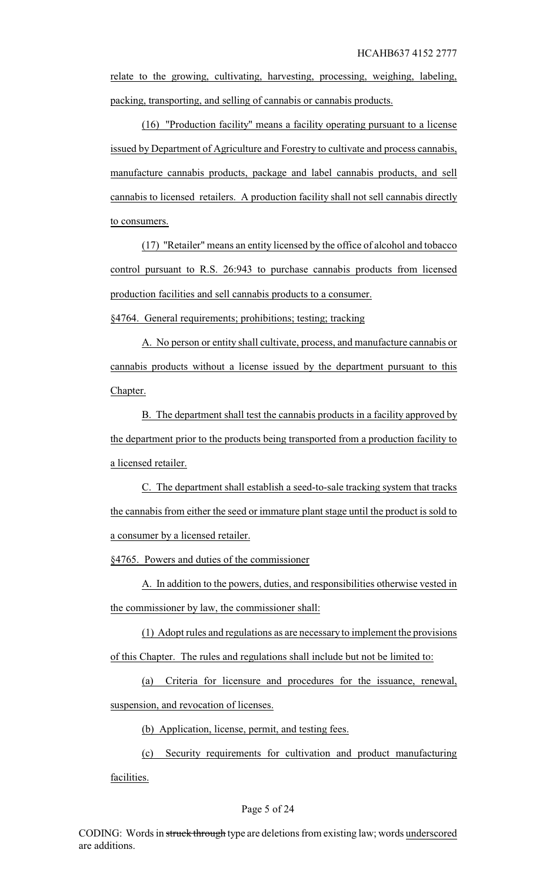relate to the growing, cultivating, harvesting, processing, weighing, labeling, packing, transporting, and selling of cannabis or cannabis products.

(16) "Production facility" means a facility operating pursuant to a license issued by Department of Agriculture and Forestry to cultivate and process cannabis, manufacture cannabis products, package and label cannabis products, and sell cannabis to licensed retailers. A production facility shall not sell cannabis directly to consumers.

(17) "Retailer" means an entity licensed by the office of alcohol and tobacco control pursuant to R.S. 26:943 to purchase cannabis products from licensed production facilities and sell cannabis products to a consumer.

§4764. General requirements; prohibitions; testing; tracking

A. No person or entity shall cultivate, process, and manufacture cannabis or cannabis products without a license issued by the department pursuant to this Chapter.

B. The department shall test the cannabis products in a facility approved by the department prior to the products being transported from a production facility to a licensed retailer.

C. The department shall establish a seed-to-sale tracking system that tracks the cannabis from either the seed or immature plant stage until the product is sold to a consumer by a licensed retailer.

§4765. Powers and duties of the commissioner

A. In addition to the powers, duties, and responsibilities otherwise vested in the commissioner by law, the commissioner shall:

(1) Adopt rules and regulations as are necessary to implement the provisions of this Chapter. The rules and regulations shall include but not be limited to:

(a) Criteria for licensure and procedures for the issuance, renewal, suspension, and revocation of licenses.

(b) Application, license, permit, and testing fees.

(c) Security requirements for cultivation and product manufacturing facilities.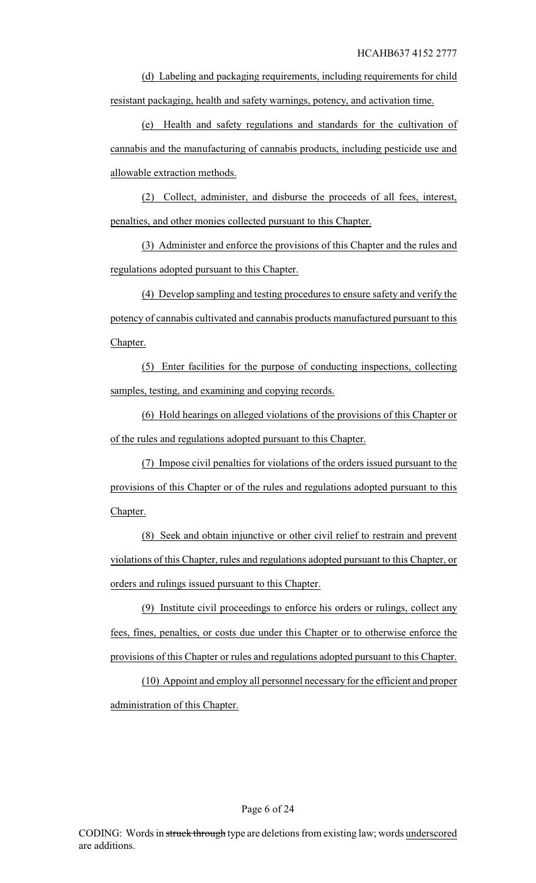(d) Labeling and packaging requirements, including requirements for child resistant packaging, health and safety warnings, potency, and activation time.

(e) Health and safety regulations and standards for the cultivation of cannabis and the manufacturing of cannabis products, including pesticide use and allowable extraction methods.

(2) Collect, administer, and disburse the proceeds of all fees, interest, penalties, and other monies collected pursuant to this Chapter.

(3) Administer and enforce the provisions of this Chapter and the rules and regulations adopted pursuant to this Chapter.

(4) Develop sampling and testing procedures to ensure safety and verify the potency of cannabis cultivated and cannabis products manufactured pursuant to this Chapter.

(5) Enter facilities for the purpose of conducting inspections, collecting samples, testing, and examining and copying records.

(6) Hold hearings on alleged violations of the provisions of this Chapter or of the rules and regulations adopted pursuant to this Chapter.

(7) Impose civil penalties for violations of the orders issued pursuant to the provisions of this Chapter or of the rules and regulations adopted pursuant to this Chapter.

(8) Seek and obtain injunctive or other civil relief to restrain and prevent violations of this Chapter, rules and regulations adopted pursuant to this Chapter, or orders and rulings issued pursuant to this Chapter.

(9) Institute civil proceedings to enforce his orders or rulings, collect any fees, fines, penalties, or costs due under this Chapter or to otherwise enforce the provisions of this Chapter or rules and regulations adopted pursuant to this Chapter.

(10) Appoint and employ all personnel necessary for the efficient and proper administration of this Chapter.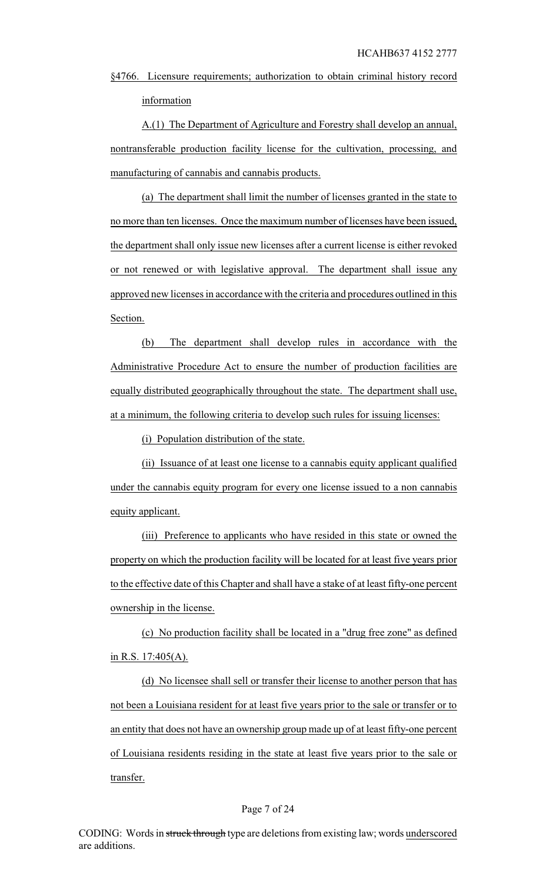§4766. Licensure requirements; authorization to obtain criminal history record information

A.(1) The Department of Agriculture and Forestry shall develop an annual, nontransferable production facility license for the cultivation, processing, and manufacturing of cannabis and cannabis products.

(a) The department shall limit the number of licenses granted in the state to no more than ten licenses. Once the maximum number of licenses have been issued, the department shall only issue new licenses after a current license is either revoked or not renewed or with legislative approval. The department shall issue any approved new licenses in accordance with the criteria and procedures outlined in this Section.

(b) The department shall develop rules in accordance with the Administrative Procedure Act to ensure the number of production facilities are equally distributed geographically throughout the state. The department shall use, at a minimum, the following criteria to develop such rules for issuing licenses:

(i) Population distribution of the state.

(ii) Issuance of at least one license to a cannabis equity applicant qualified under the cannabis equity program for every one license issued to a non cannabis equity applicant.

(iii) Preference to applicants who have resided in this state or owned the property on which the production facility will be located for at least five years prior to the effective date of this Chapter and shall have a stake of at least fifty-one percent ownership in the license.

(c) No production facility shall be located in a "drug free zone" as defined in R.S. 17:405(A).

(d) No licensee shall sell or transfer their license to another person that has not been a Louisiana resident for at least five years prior to the sale or transfer or to an entity that does not have an ownership group made up of at least fifty-one percent of Louisiana residents residing in the state at least five years prior to the sale or transfer.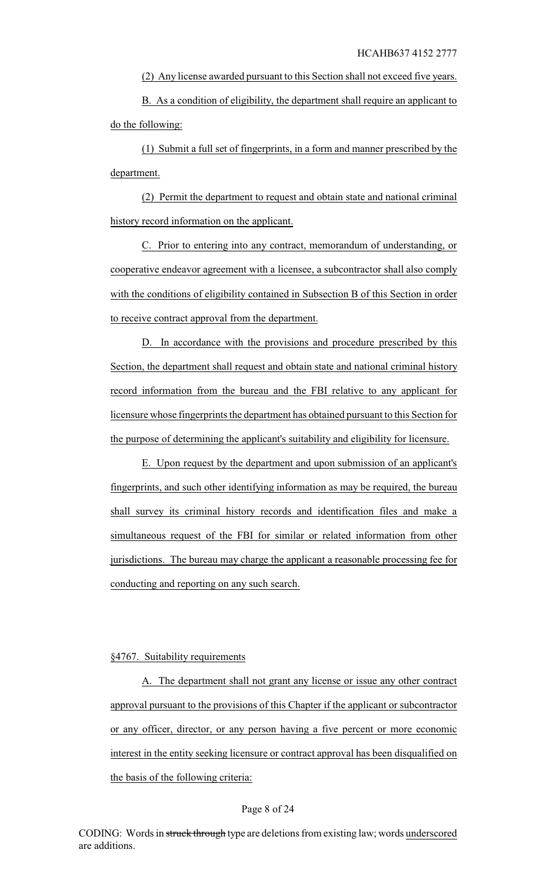(2) Any license awarded pursuant to this Section shall not exceed five years.

B. As a condition of eligibility, the department shall require an applicant to do the following:

(1) Submit a full set of fingerprints, in a form and manner prescribed by the department.

(2) Permit the department to request and obtain state and national criminal history record information on the applicant.

C. Prior to entering into any contract, memorandum of understanding, or cooperative endeavor agreement with a licensee, a subcontractor shall also comply with the conditions of eligibility contained in Subsection B of this Section in order to receive contract approval from the department.

D. In accordance with the provisions and procedure prescribed by this Section, the department shall request and obtain state and national criminal history record information from the bureau and the FBI relative to any applicant for licensure whose fingerprints the department has obtained pursuant to this Section for the purpose of determining the applicant's suitability and eligibility for licensure.

E. Upon request by the department and upon submission of an applicant's fingerprints, and such other identifying information as may be required, the bureau shall survey its criminal history records and identification files and make a simultaneous request of the FBI for similar or related information from other jurisdictions. The bureau may charge the applicant a reasonable processing fee for conducting and reporting on any such search.

## §4767. Suitability requirements

A. The department shall not grant any license or issue any other contract approval pursuant to the provisions of this Chapter if the applicant or subcontractor or any officer, director, or any person having a five percent or more economic interest in the entity seeking licensure or contract approval has been disqualified on the basis of the following criteria:

#### Page 8 of 24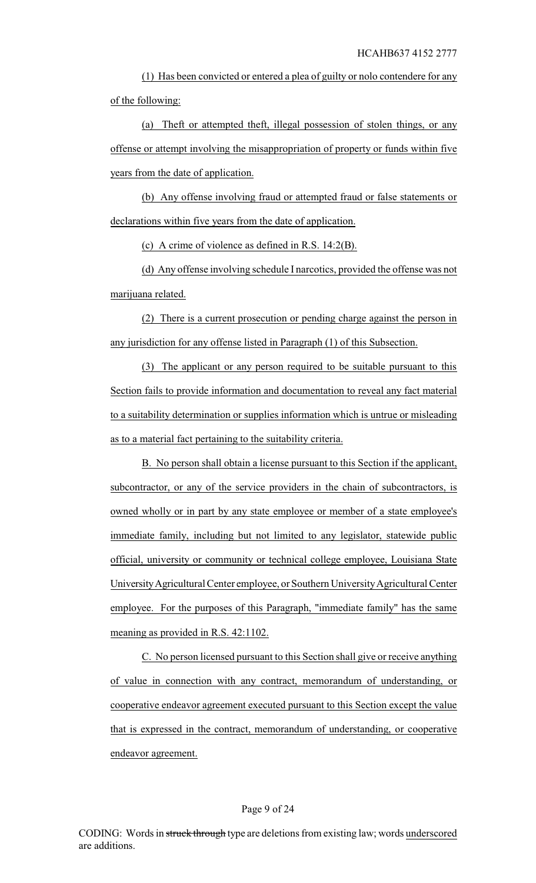(1) Has been convicted or entered a plea of guilty or nolo contendere for any of the following:

(a) Theft or attempted theft, illegal possession of stolen things, or any offense or attempt involving the misappropriation of property or funds within five years from the date of application.

(b) Any offense involving fraud or attempted fraud or false statements or declarations within five years from the date of application.

(c) A crime of violence as defined in R.S. 14:2(B).

(d) Any offense involving schedule I narcotics, provided the offense was not marijuana related.

(2) There is a current prosecution or pending charge against the person in any jurisdiction for any offense listed in Paragraph (1) of this Subsection.

(3) The applicant or any person required to be suitable pursuant to this Section fails to provide information and documentation to reveal any fact material to a suitability determination or supplies information which is untrue or misleading as to a material fact pertaining to the suitability criteria.

B. No person shall obtain a license pursuant to this Section if the applicant, subcontractor, or any of the service providers in the chain of subcontractors, is owned wholly or in part by any state employee or member of a state employee's immediate family, including but not limited to any legislator, statewide public official, university or community or technical college employee, Louisiana State UniversityAgricultural Center employee, or Southern UniversityAgricultural Center employee. For the purposes of this Paragraph, "immediate family" has the same meaning as provided in R.S. 42:1102.

C. No person licensed pursuant to this Section shall give or receive anything of value in connection with any contract, memorandum of understanding, or cooperative endeavor agreement executed pursuant to this Section except the value that is expressed in the contract, memorandum of understanding, or cooperative endeavor agreement.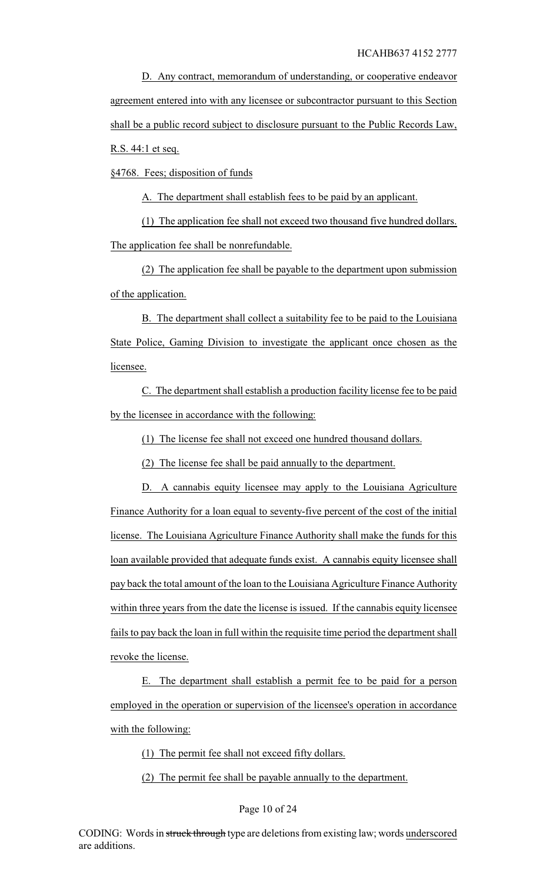D. Any contract, memorandum of understanding, or cooperative endeavor agreement entered into with any licensee or subcontractor pursuant to this Section shall be a public record subject to disclosure pursuant to the Public Records Law,

R.S. 44:1 et seq.

§4768. Fees; disposition of funds

A. The department shall establish fees to be paid by an applicant.

(1) The application fee shall not exceed two thousand five hundred dollars. The application fee shall be nonrefundable.

(2) The application fee shall be payable to the department upon submission of the application.

B. The department shall collect a suitability fee to be paid to the Louisiana State Police, Gaming Division to investigate the applicant once chosen as the licensee.

C. The department shall establish a production facility license fee to be paid by the licensee in accordance with the following:

(1) The license fee shall not exceed one hundred thousand dollars.

(2) The license fee shall be paid annually to the department.

D. A cannabis equity licensee may apply to the Louisiana Agriculture Finance Authority for a loan equal to seventy-five percent of the cost of the initial license. The Louisiana Agriculture Finance Authority shall make the funds for this loan available provided that adequate funds exist. A cannabis equity licensee shall pay back the total amount of the loan to the Louisiana Agriculture Finance Authority within three years from the date the license is issued. If the cannabis equity licensee fails to pay back the loan in full within the requisite time period the department shall revoke the license.

E. The department shall establish a permit fee to be paid for a person employed in the operation or supervision of the licensee's operation in accordance with the following:

(1) The permit fee shall not exceed fifty dollars.

(2) The permit fee shall be payable annually to the department.

#### Page 10 of 24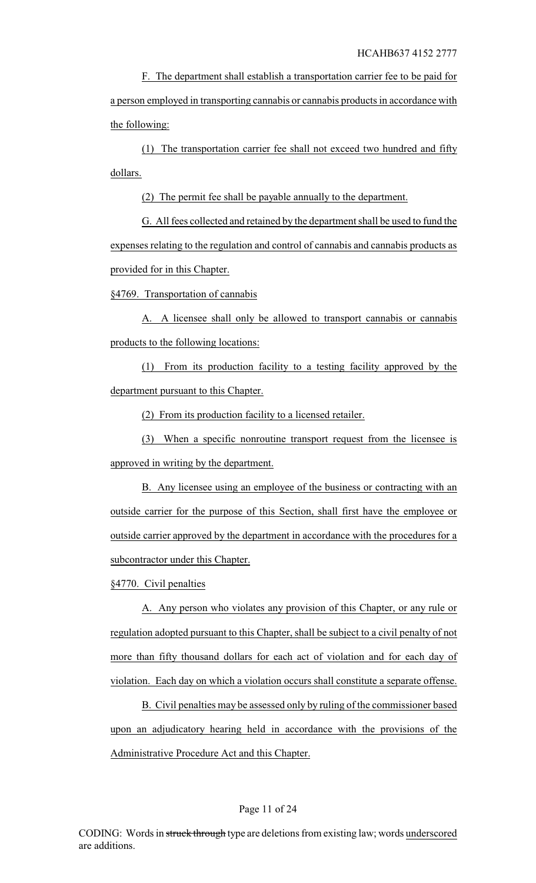F. The department shall establish a transportation carrier fee to be paid for a person employed in transporting cannabis or cannabis products in accordance with the following:

(1) The transportation carrier fee shall not exceed two hundred and fifty dollars.

(2) The permit fee shall be payable annually to the department.

G. All fees collected and retained by the department shall be used to fund the expenses relating to the regulation and control of cannabis and cannabis products as provided for in this Chapter.

§4769. Transportation of cannabis

A. A licensee shall only be allowed to transport cannabis or cannabis products to the following locations:

(1) From its production facility to a testing facility approved by the department pursuant to this Chapter.

(2) From its production facility to a licensed retailer.

(3) When a specific nonroutine transport request from the licensee is approved in writing by the department.

B. Any licensee using an employee of the business or contracting with an outside carrier for the purpose of this Section, shall first have the employee or outside carrier approved by the department in accordance with the procedures for a subcontractor under this Chapter.

§4770. Civil penalties

A. Any person who violates any provision of this Chapter, or any rule or regulation adopted pursuant to this Chapter, shall be subject to a civil penalty of not more than fifty thousand dollars for each act of violation and for each day of violation. Each day on which a violation occurs shall constitute a separate offense.

B. Civil penalties may be assessed only by ruling of the commissioner based upon an adjudicatory hearing held in accordance with the provisions of the Administrative Procedure Act and this Chapter.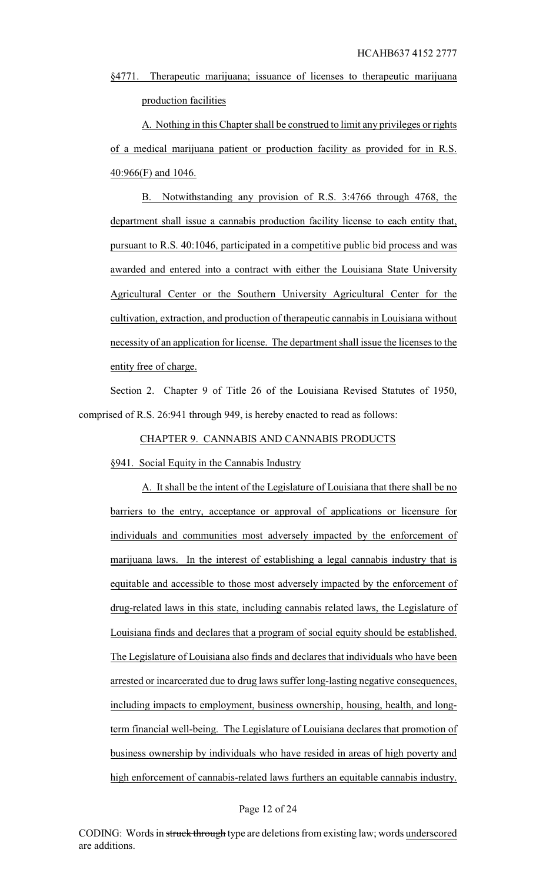§4771. Therapeutic marijuana; issuance of licenses to therapeutic marijuana production facilities

A. Nothing in this Chapter shall be construed to limit any privileges or rights of a medical marijuana patient or production facility as provided for in R.S. 40:966(F) and 1046.

B. Notwithstanding any provision of R.S. 3:4766 through 4768, the department shall issue a cannabis production facility license to each entity that, pursuant to R.S. 40:1046, participated in a competitive public bid process and was awarded and entered into a contract with either the Louisiana State University Agricultural Center or the Southern University Agricultural Center for the cultivation, extraction, and production of therapeutic cannabis in Louisiana without necessity of an application for license. The department shall issue the licenses to the entity free of charge.

Section 2. Chapter 9 of Title 26 of the Louisiana Revised Statutes of 1950, comprised of R.S. 26:941 through 949, is hereby enacted to read as follows:

## CHAPTER 9. CANNABIS AND CANNABIS PRODUCTS

§941. Social Equity in the Cannabis Industry

A. It shall be the intent of the Legislature of Louisiana that there shall be no barriers to the entry, acceptance or approval of applications or licensure for individuals and communities most adversely impacted by the enforcement of marijuana laws. In the interest of establishing a legal cannabis industry that is equitable and accessible to those most adversely impacted by the enforcement of drug-related laws in this state, including cannabis related laws, the Legislature of Louisiana finds and declares that a program of social equity should be established. The Legislature of Louisiana also finds and declares that individuals who have been arrested or incarcerated due to drug laws suffer long-lasting negative consequences, including impacts to employment, business ownership, housing, health, and longterm financial well-being. The Legislature of Louisiana declares that promotion of business ownership by individuals who have resided in areas of high poverty and high enforcement of cannabis-related laws furthers an equitable cannabis industry.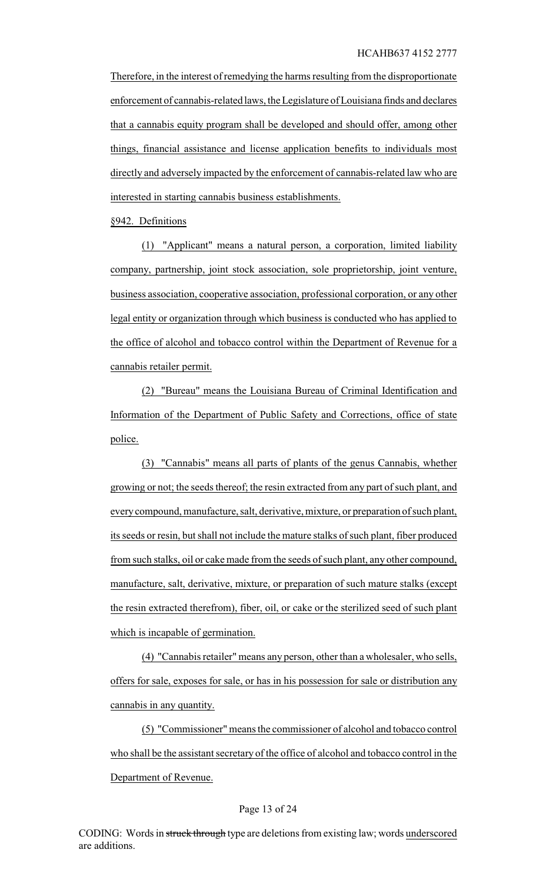Therefore, in the interest of remedying the harms resulting from the disproportionate enforcement of cannabis-related laws, the Legislature of Louisiana finds and declares that a cannabis equity program shall be developed and should offer, among other things, financial assistance and license application benefits to individuals most directly and adversely impacted by the enforcement of cannabis-related law who are interested in starting cannabis business establishments.

§942. Definitions

(1) "Applicant" means a natural person, a corporation, limited liability company, partnership, joint stock association, sole proprietorship, joint venture, business association, cooperative association, professional corporation, or any other legal entity or organization through which business is conducted who has applied to the office of alcohol and tobacco control within the Department of Revenue for a cannabis retailer permit.

(2) "Bureau" means the Louisiana Bureau of Criminal Identification and Information of the Department of Public Safety and Corrections, office of state police.

(3) "Cannabis" means all parts of plants of the genus Cannabis, whether growing or not; the seeds thereof; the resin extracted from any part of such plant, and everycompound, manufacture, salt, derivative, mixture, or preparation of such plant, its seeds or resin, but shall not include the mature stalks of such plant, fiber produced from such stalks, oil or cake made from the seeds of such plant, any other compound, manufacture, salt, derivative, mixture, or preparation of such mature stalks (except the resin extracted therefrom), fiber, oil, or cake or the sterilized seed of such plant which is incapable of germination.

(4) "Cannabis retailer" means any person, other than a wholesaler, who sells, offers for sale, exposes for sale, or has in his possession for sale or distribution any cannabis in any quantity.

(5) "Commissioner" means the commissioner of alcohol and tobacco control who shall be the assistant secretary of the office of alcohol and tobacco control in the Department of Revenue.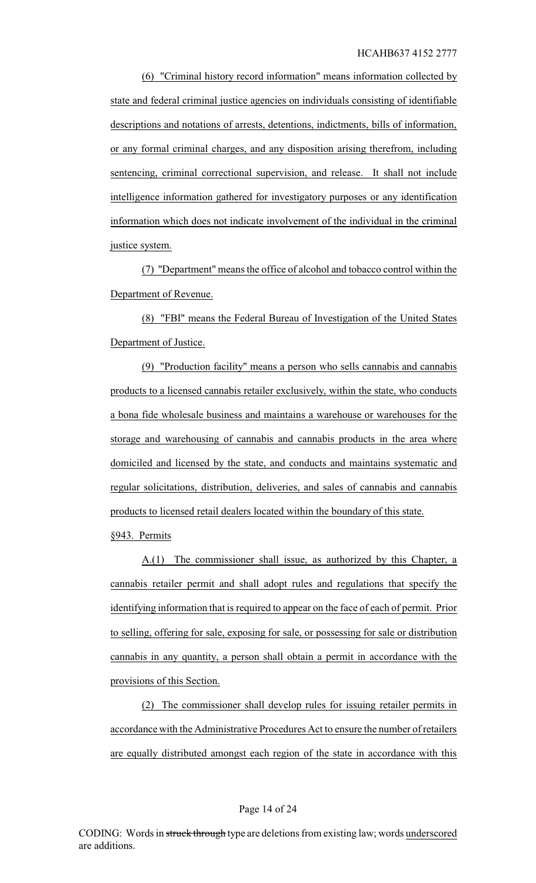(6) "Criminal history record information" means information collected by state and federal criminal justice agencies on individuals consisting of identifiable descriptions and notations of arrests, detentions, indictments, bills of information, or any formal criminal charges, and any disposition arising therefrom, including sentencing, criminal correctional supervision, and release. It shall not include intelligence information gathered for investigatory purposes or any identification information which does not indicate involvement of the individual in the criminal justice system.

(7) "Department" means the office of alcohol and tobacco control within the Department of Revenue.

(8) "FBI" means the Federal Bureau of Investigation of the United States Department of Justice.

(9) "Production facility" means a person who sells cannabis and cannabis products to a licensed cannabis retailer exclusively, within the state, who conducts a bona fide wholesale business and maintains a warehouse or warehouses for the storage and warehousing of cannabis and cannabis products in the area where domiciled and licensed by the state, and conducts and maintains systematic and regular solicitations, distribution, deliveries, and sales of cannabis and cannabis products to licensed retail dealers located within the boundary of this state.

§943. Permits

A.(1) The commissioner shall issue, as authorized by this Chapter, a cannabis retailer permit and shall adopt rules and regulations that specify the identifying information that is required to appear on the face of each of permit. Prior to selling, offering for sale, exposing for sale, or possessing for sale or distribution cannabis in any quantity, a person shall obtain a permit in accordance with the provisions of this Section.

(2) The commissioner shall develop rules for issuing retailer permits in accordance with the Administrative Procedures Act to ensure the number of retailers are equally distributed amongst each region of the state in accordance with this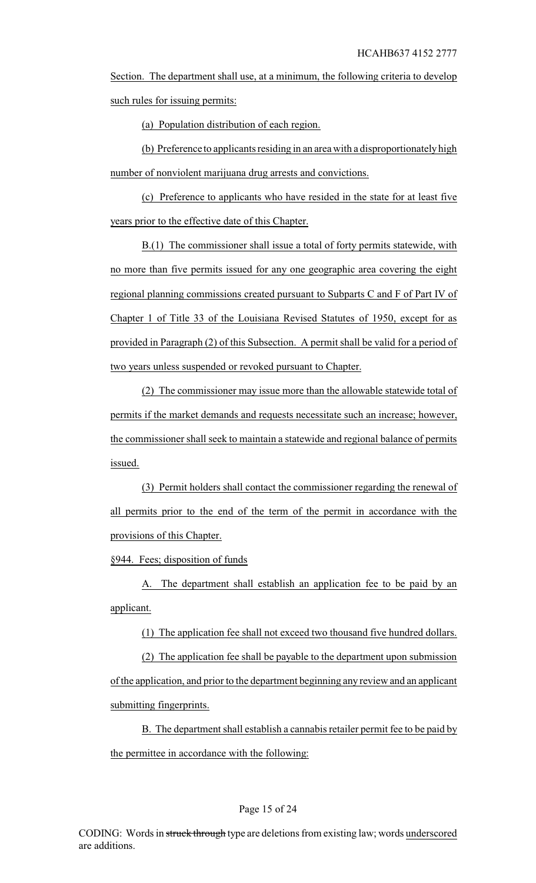Section. The department shall use, at a minimum, the following criteria to develop such rules for issuing permits:

(a) Population distribution of each region.

(b) Preference to applicants residing in an area with a disproportionately high number of nonviolent marijuana drug arrests and convictions.

(c) Preference to applicants who have resided in the state for at least five years prior to the effective date of this Chapter.

B.(1) The commissioner shall issue a total of forty permits statewide, with no more than five permits issued for any one geographic area covering the eight regional planning commissions created pursuant to Subparts C and F of Part IV of Chapter 1 of Title 33 of the Louisiana Revised Statutes of 1950, except for as provided in Paragraph (2) of this Subsection. A permit shall be valid for a period of two years unless suspended or revoked pursuant to Chapter.

(2) The commissioner may issue more than the allowable statewide total of permits if the market demands and requests necessitate such an increase; however, the commissioner shall seek to maintain a statewide and regional balance of permits issued.

(3) Permit holders shall contact the commissioner regarding the renewal of all permits prior to the end of the term of the permit in accordance with the provisions of this Chapter.

§944. Fees; disposition of funds

A. The department shall establish an application fee to be paid by an applicant.

(1) The application fee shall not exceed two thousand five hundred dollars.

(2) The application fee shall be payable to the department upon submission of the application, and prior to the department beginning any review and an applicant submitting fingerprints.

B. The department shall establish a cannabis retailer permit fee to be paid by the permittee in accordance with the following: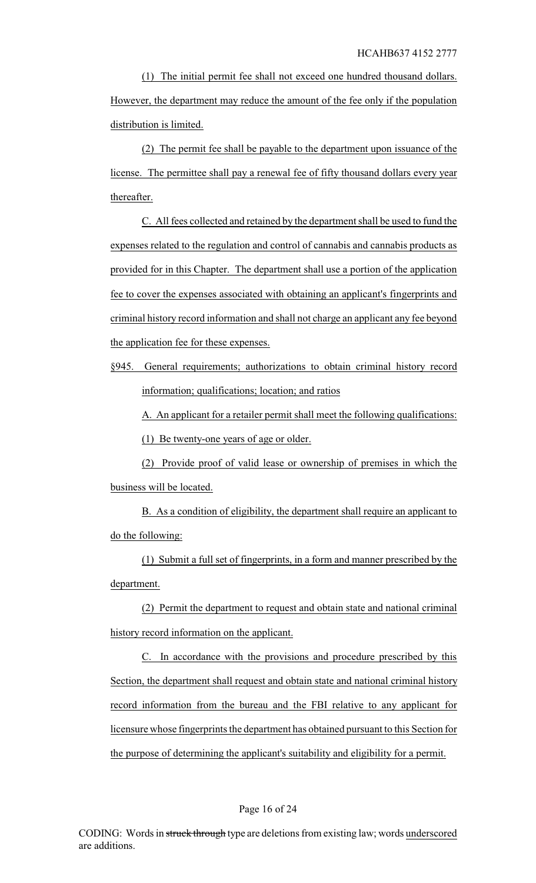(1) The initial permit fee shall not exceed one hundred thousand dollars. However, the department may reduce the amount of the fee only if the population distribution is limited.

(2) The permit fee shall be payable to the department upon issuance of the license. The permittee shall pay a renewal fee of fifty thousand dollars every year thereafter.

C. All fees collected and retained by the department shall be used to fund the expenses related to the regulation and control of cannabis and cannabis products as provided for in this Chapter. The department shall use a portion of the application fee to cover the expenses associated with obtaining an applicant's fingerprints and criminal history record information and shall not charge an applicant any fee beyond the application fee for these expenses.

§945. General requirements; authorizations to obtain criminal history record information; qualifications; location; and ratios

A. An applicant for a retailer permit shall meet the following qualifications:

(1) Be twenty-one years of age or older.

(2) Provide proof of valid lease or ownership of premises in which the business will be located.

B. As a condition of eligibility, the department shall require an applicant to do the following:

(1) Submit a full set of fingerprints, in a form and manner prescribed by the department.

(2) Permit the department to request and obtain state and national criminal history record information on the applicant.

C. In accordance with the provisions and procedure prescribed by this Section, the department shall request and obtain state and national criminal history record information from the bureau and the FBI relative to any applicant for licensure whose fingerprints the department has obtained pursuant to this Section for the purpose of determining the applicant's suitability and eligibility for a permit.

### Page 16 of 24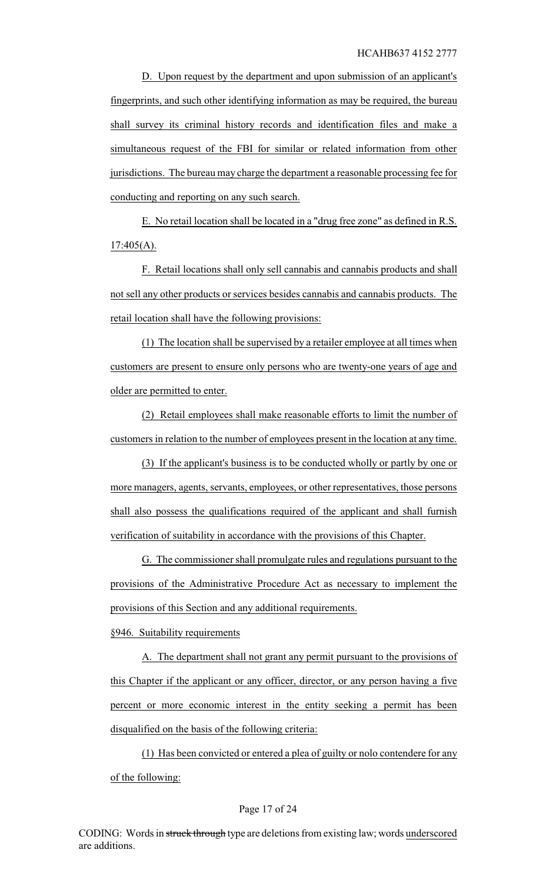D. Upon request by the department and upon submission of an applicant's fingerprints, and such other identifying information as may be required, the bureau shall survey its criminal history records and identification files and make a simultaneous request of the FBI for similar or related information from other jurisdictions. The bureau may charge the department a reasonable processing fee for conducting and reporting on any such search.

E. No retail location shall be located in a "drug free zone" as defined in R.S.  $17:405(A)$ .

F. Retail locations shall only sell cannabis and cannabis products and shall not sell any other products or services besides cannabis and cannabis products. The retail location shall have the following provisions:

(1) The location shall be supervised by a retailer employee at all times when customers are present to ensure only persons who are twenty-one years of age and older are permitted to enter.

(2) Retail employees shall make reasonable efforts to limit the number of customers in relation to the number of employees present in the location at any time.

(3) If the applicant's business is to be conducted wholly or partly by one or more managers, agents, servants, employees, or other representatives, those persons shall also possess the qualifications required of the applicant and shall furnish verification of suitability in accordance with the provisions of this Chapter.

G. The commissioner shall promulgate rules and regulations pursuant to the provisions of the Administrative Procedure Act as necessary to implement the provisions of this Section and any additional requirements.

§946. Suitability requirements

A. The department shall not grant any permit pursuant to the provisions of this Chapter if the applicant or any officer, director, or any person having a five percent or more economic interest in the entity seeking a permit has been disqualified on the basis of the following criteria:

(1) Has been convicted or entered a plea of guilty or nolo contendere for any of the following: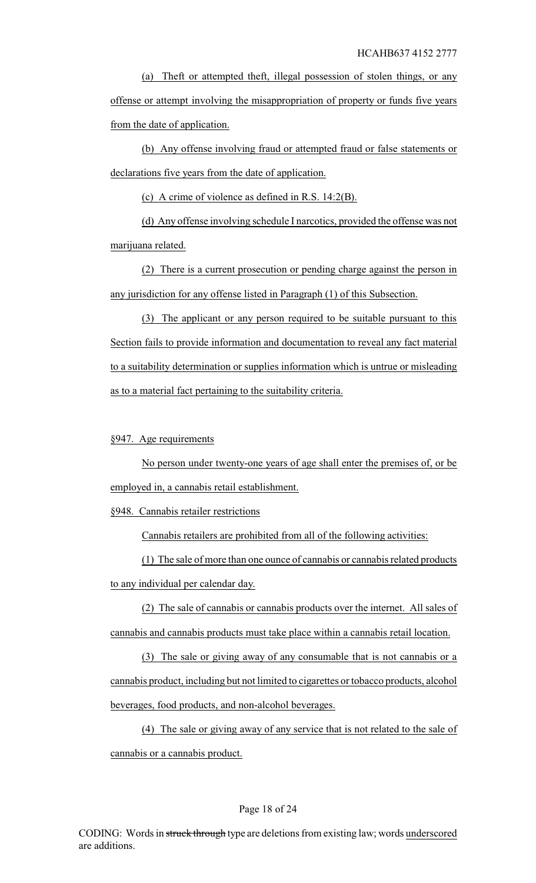(a) Theft or attempted theft, illegal possession of stolen things, or any offense or attempt involving the misappropriation of property or funds five years from the date of application.

(b) Any offense involving fraud or attempted fraud or false statements or declarations five years from the date of application.

(c) A crime of violence as defined in R.S. 14:2(B).

(d) Any offense involving schedule I narcotics, provided the offense was not marijuana related.

(2) There is a current prosecution or pending charge against the person in any jurisdiction for any offense listed in Paragraph (1) of this Subsection.

(3) The applicant or any person required to be suitable pursuant to this Section fails to provide information and documentation to reveal any fact material to a suitability determination or supplies information which is untrue or misleading as to a material fact pertaining to the suitability criteria.

# §947. Age requirements

No person under twenty-one years of age shall enter the premises of, or be employed in, a cannabis retail establishment.

§948. Cannabis retailer restrictions

Cannabis retailers are prohibited from all of the following activities:

(1) The sale of more than one ounce of cannabis or cannabis related products to any individual per calendar day.

(2) The sale of cannabis or cannabis products over the internet. All sales of cannabis and cannabis products must take place within a cannabis retail location.

(3) The sale or giving away of any consumable that is not cannabis or a cannabis product, including but not limited to cigarettes or tobacco products, alcohol beverages, food products, and non-alcohol beverages.

(4) The sale or giving away of any service that is not related to the sale of cannabis or a cannabis product.

### Page 18 of 24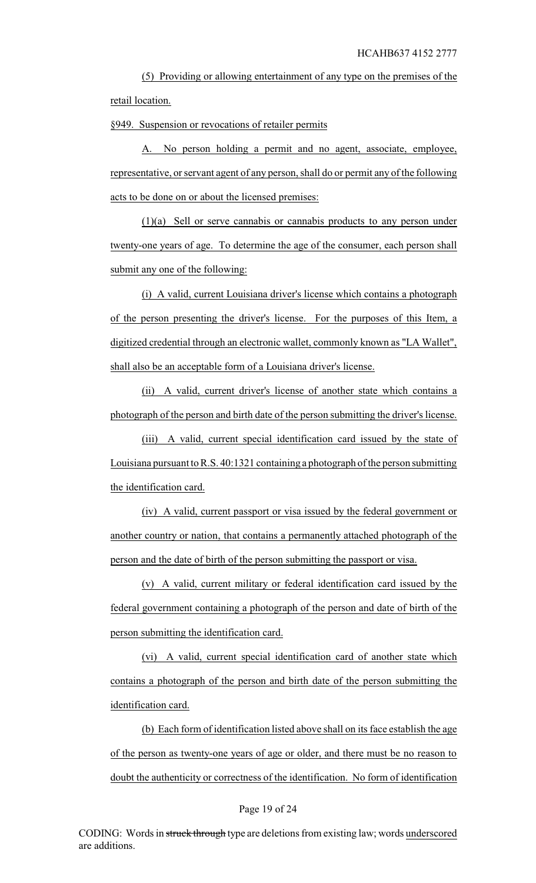(5) Providing or allowing entertainment of any type on the premises of the retail location.

§949. Suspension or revocations of retailer permits

A. No person holding a permit and no agent, associate, employee, representative, or servant agent of any person, shall do or permit any of the following acts to be done on or about the licensed premises:

(1)(a) Sell or serve cannabis or cannabis products to any person under twenty-one years of age. To determine the age of the consumer, each person shall submit any one of the following:

(i) A valid, current Louisiana driver's license which contains a photograph of the person presenting the driver's license. For the purposes of this Item, a digitized credential through an electronic wallet, commonly known as "LA Wallet", shall also be an acceptable form of a Louisiana driver's license.

(ii) A valid, current driver's license of another state which contains a photograph of the person and birth date of the person submitting the driver's license.

(iii) A valid, current special identification card issued by the state of Louisiana pursuant to R.S. 40:1321 containing a photograph of the person submitting the identification card.

(iv) A valid, current passport or visa issued by the federal government or another country or nation, that contains a permanently attached photograph of the person and the date of birth of the person submitting the passport or visa.

(v) A valid, current military or federal identification card issued by the federal government containing a photograph of the person and date of birth of the person submitting the identification card.

(vi) A valid, current special identification card of another state which contains a photograph of the person and birth date of the person submitting the identification card.

(b) Each form of identification listed above shall on its face establish the age of the person as twenty-one years of age or older, and there must be no reason to doubt the authenticity or correctness of the identification. No form of identification

#### Page 19 of 24

CODING: Words in struck through type are deletions from existing law; words underscored are additions.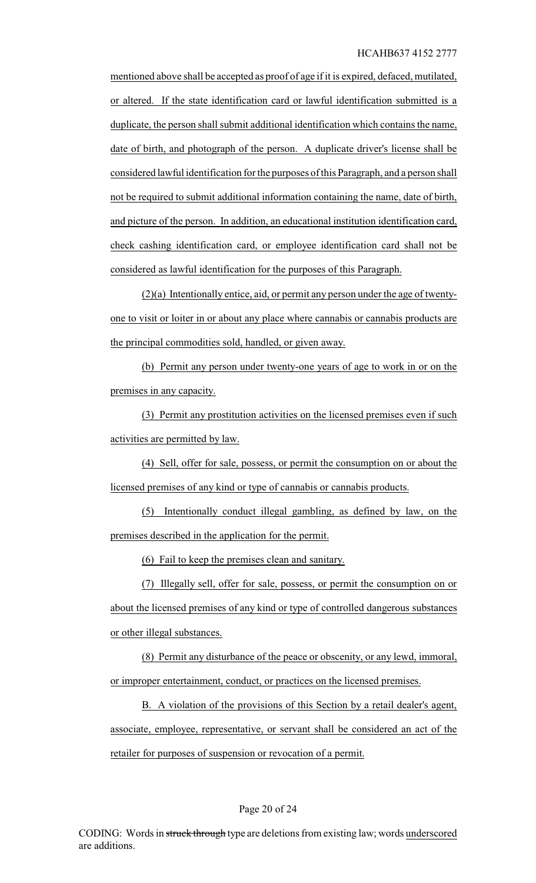HCAHB637 4152 2777

mentioned above shall be accepted as proof of age if it is expired, defaced, mutilated, or altered. If the state identification card or lawful identification submitted is a duplicate, the person shall submit additional identification which contains the name, date of birth, and photograph of the person. A duplicate driver's license shall be considered lawful identification for the purposes of this Paragraph, and a person shall not be required to submit additional information containing the name, date of birth, and picture of the person. In addition, an educational institution identification card, check cashing identification card, or employee identification card shall not be considered as lawful identification for the purposes of this Paragraph.

(2)(a) Intentionally entice, aid, or permit any person under the age of twentyone to visit or loiter in or about any place where cannabis or cannabis products are the principal commodities sold, handled, or given away.

(b) Permit any person under twenty-one years of age to work in or on the premises in any capacity.

(3) Permit any prostitution activities on the licensed premises even if such activities are permitted by law.

(4) Sell, offer for sale, possess, or permit the consumption on or about the licensed premises of any kind or type of cannabis or cannabis products.

(5) Intentionally conduct illegal gambling, as defined by law, on the premises described in the application for the permit.

(6) Fail to keep the premises clean and sanitary.

(7) Illegally sell, offer for sale, possess, or permit the consumption on or about the licensed premises of any kind or type of controlled dangerous substances or other illegal substances.

(8) Permit any disturbance of the peace or obscenity, or any lewd, immoral, or improper entertainment, conduct, or practices on the licensed premises.

B. A violation of the provisions of this Section by a retail dealer's agent, associate, employee, representative, or servant shall be considered an act of the retailer for purposes of suspension or revocation of a permit.

### Page 20 of 24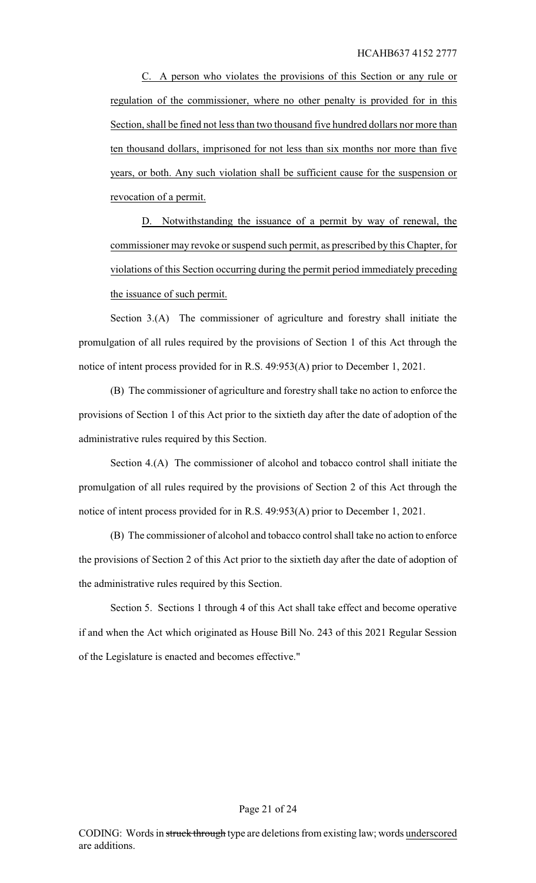C. A person who violates the provisions of this Section or any rule or regulation of the commissioner, where no other penalty is provided for in this Section, shall be fined not less than two thousand five hundred dollars nor more than ten thousand dollars, imprisoned for not less than six months nor more than five years, or both. Any such violation shall be sufficient cause for the suspension or revocation of a permit.

D. Notwithstanding the issuance of a permit by way of renewal, the commissioner may revoke or suspend such permit, as prescribed by this Chapter, for violations of this Section occurring during the permit period immediately preceding the issuance of such permit.

Section 3.(A) The commissioner of agriculture and forestry shall initiate the promulgation of all rules required by the provisions of Section 1 of this Act through the notice of intent process provided for in R.S. 49:953(A) prior to December 1, 2021.

(B) The commissioner of agriculture and forestry shall take no action to enforce the provisions of Section 1 of this Act prior to the sixtieth day after the date of adoption of the administrative rules required by this Section.

Section 4.(A) The commissioner of alcohol and tobacco control shall initiate the promulgation of all rules required by the provisions of Section 2 of this Act through the notice of intent process provided for in R.S. 49:953(A) prior to December 1, 2021.

(B) The commissioner of alcohol and tobacco control shall take no action to enforce the provisions of Section 2 of this Act prior to the sixtieth day after the date of adoption of the administrative rules required by this Section.

Section 5. Sections 1 through 4 of this Act shall take effect and become operative if and when the Act which originated as House Bill No. 243 of this 2021 Regular Session of the Legislature is enacted and becomes effective."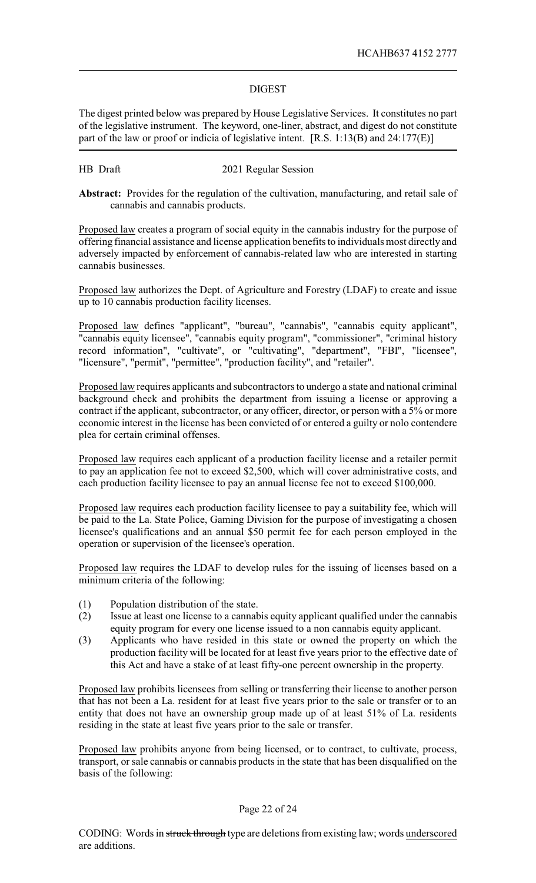# DIGEST

The digest printed below was prepared by House Legislative Services. It constitutes no part of the legislative instrument. The keyword, one-liner, abstract, and digest do not constitute part of the law or proof or indicia of legislative intent. [R.S. 1:13(B) and 24:177(E)]

## HB Draft 2021 Regular Session

**Abstract:** Provides for the regulation of the cultivation, manufacturing, and retail sale of cannabis and cannabis products.

Proposed law creates a program of social equity in the cannabis industry for the purpose of offering financial assistance and license application benefits to individuals most directly and adversely impacted by enforcement of cannabis-related law who are interested in starting cannabis businesses.

Proposed law authorizes the Dept. of Agriculture and Forestry (LDAF) to create and issue up to 10 cannabis production facility licenses.

Proposed law defines "applicant", "bureau", "cannabis", "cannabis equity applicant", "cannabis equity licensee", "cannabis equity program", "commissioner", "criminal history record information", "cultivate", or "cultivating", "department", "FBI", "licensee", "licensure", "permit", "permittee", "production facility", and "retailer".

Proposed law requires applicants and subcontractors to undergo a state and national criminal background check and prohibits the department from issuing a license or approving a contract if the applicant, subcontractor, or any officer, director, or person with a 5% or more economic interest in the license has been convicted of or entered a guilty or nolo contendere plea for certain criminal offenses.

Proposed law requires each applicant of a production facility license and a retailer permit to pay an application fee not to exceed \$2,500, which will cover administrative costs, and each production facility licensee to pay an annual license fee not to exceed \$100,000.

Proposed law requires each production facility licensee to pay a suitability fee, which will be paid to the La. State Police, Gaming Division for the purpose of investigating a chosen licensee's qualifications and an annual \$50 permit fee for each person employed in the operation or supervision of the licensee's operation.

Proposed law requires the LDAF to develop rules for the issuing of licenses based on a minimum criteria of the following:

- (1) Population distribution of the state.
- (2) Issue at least one license to a cannabis equity applicant qualified under the cannabis equity program for every one license issued to a non cannabis equity applicant.
- (3) Applicants who have resided in this state or owned the property on which the production facility will be located for at least five years prior to the effective date of this Act and have a stake of at least fifty-one percent ownership in the property.

Proposed law prohibits licensees from selling or transferring their license to another person that has not been a La. resident for at least five years prior to the sale or transfer or to an entity that does not have an ownership group made up of at least 51% of La. residents residing in the state at least five years prior to the sale or transfer.

Proposed law prohibits anyone from being licensed, or to contract, to cultivate, process, transport, or sale cannabis or cannabis products in the state that has been disqualified on the basis of the following:

### Page 22 of 24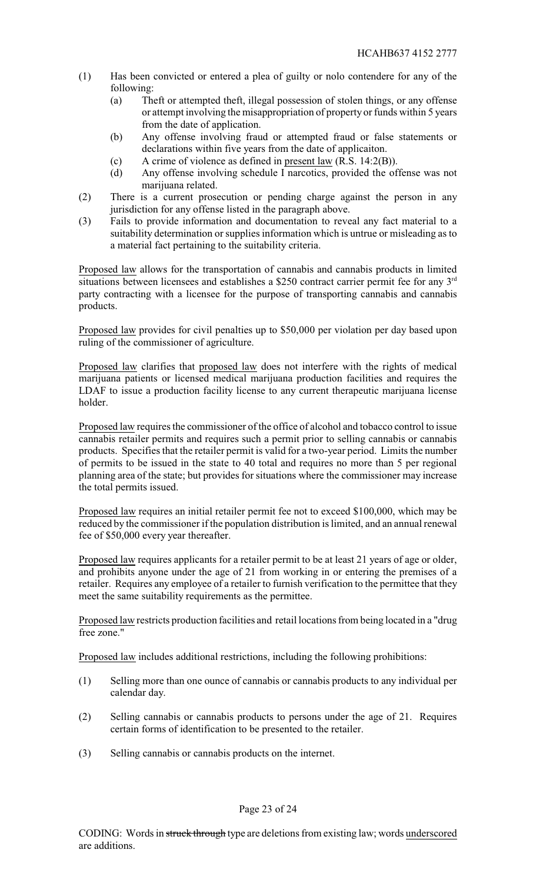- (1) Has been convicted or entered a plea of guilty or nolo contendere for any of the following:
	- (a) Theft or attempted theft, illegal possession of stolen things, or any offense or attempt involving the misappropriation of property or funds within 5 years from the date of application.
	- (b) Any offense involving fraud or attempted fraud or false statements or declarations within five years from the date of applicaiton.
	- (c) A crime of violence as defined in present law (R.S. 14:2(B)).
	- (d) Any offense involving schedule I narcotics, provided the offense was not marijuana related.
- (2) There is a current prosecution or pending charge against the person in any jurisdiction for any offense listed in the paragraph above.
- (3) Fails to provide information and documentation to reveal any fact material to a suitability determination or supplies information which is untrue or misleading as to a material fact pertaining to the suitability criteria.

Proposed law allows for the transportation of cannabis and cannabis products in limited situations between licensees and establishes a \$250 contract carrier permit fee for any  $3<sup>rd</sup>$ party contracting with a licensee for the purpose of transporting cannabis and cannabis products.

Proposed law provides for civil penalties up to \$50,000 per violation per day based upon ruling of the commissioner of agriculture.

Proposed law clarifies that proposed law does not interfere with the rights of medical marijuana patients or licensed medical marijuana production facilities and requires the LDAF to issue a production facility license to any current therapeutic marijuana license holder.

Proposed law requires the commissioner of the office of alcohol and tobacco control to issue cannabis retailer permits and requires such a permit prior to selling cannabis or cannabis products. Specifies that the retailer permit is valid for a two-year period. Limits the number of permits to be issued in the state to 40 total and requires no more than 5 per regional planning area of the state; but provides for situations where the commissioner may increase the total permits issued.

Proposed law requires an initial retailer permit fee not to exceed \$100,000, which may be reduced by the commissioner if the population distribution is limited, and an annual renewal fee of \$50,000 every year thereafter.

Proposed law requires applicants for a retailer permit to be at least 21 years of age or older, and prohibits anyone under the age of 21 from working in or entering the premises of a retailer. Requires any employee of a retailer to furnish verification to the permittee that they meet the same suitability requirements as the permittee.

Proposed law restricts production facilities and retail locations from being located in a "drug free zone."

Proposed law includes additional restrictions, including the following prohibitions:

- (1) Selling more than one ounce of cannabis or cannabis products to any individual per calendar day.
- (2) Selling cannabis or cannabis products to persons under the age of 21. Requires certain forms of identification to be presented to the retailer.
- (3) Selling cannabis or cannabis products on the internet.